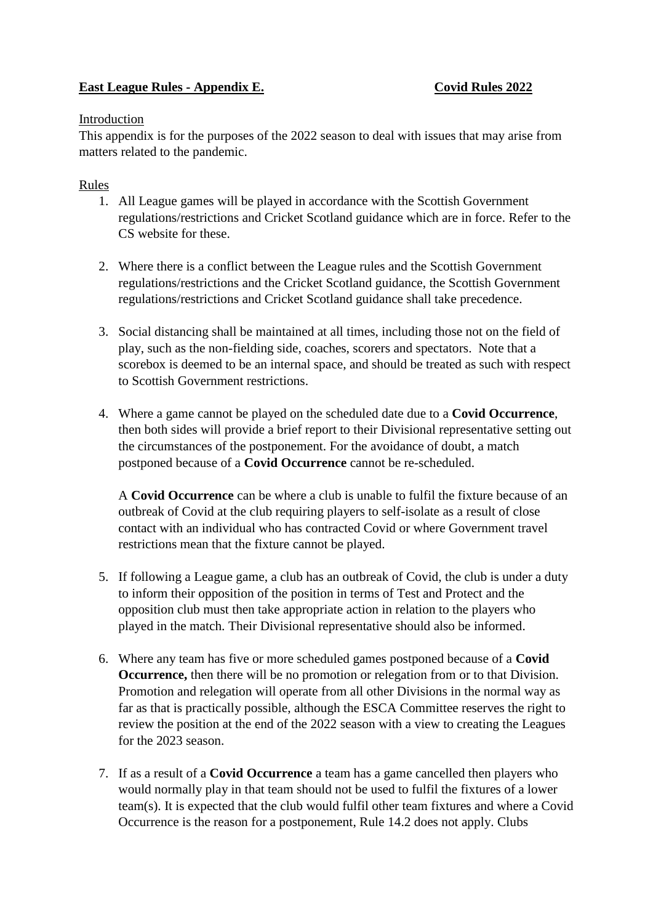## **East League Rules - Appendix E.** Covid Rules 2022

## Introduction

This appendix is for the purposes of the 2022 season to deal with issues that may arise from matters related to the pandemic.

## Rules

- 1. All League games will be played in accordance with the Scottish Government regulations/restrictions and Cricket Scotland guidance which are in force. Refer to the CS website for these.
- 2. Where there is a conflict between the League rules and the Scottish Government regulations/restrictions and the Cricket Scotland guidance, the Scottish Government regulations/restrictions and Cricket Scotland guidance shall take precedence.
- 3. Social distancing shall be maintained at all times, including those not on the field of play, such as the non-fielding side, coaches, scorers and spectators. Note that a scorebox is deemed to be an internal space, and should be treated as such with respect to Scottish Government restrictions.
- 4. Where a game cannot be played on the scheduled date due to a **Covid Occurrence**, then both sides will provide a brief report to their Divisional representative setting out the circumstances of the postponement. For the avoidance of doubt, a match postponed because of a **Covid Occurrence** cannot be re-scheduled.

A **Covid Occurrence** can be where a club is unable to fulfil the fixture because of an outbreak of Covid at the club requiring players to self-isolate as a result of close contact with an individual who has contracted Covid or where Government travel restrictions mean that the fixture cannot be played.

- 5. If following a League game, a club has an outbreak of Covid, the club is under a duty to inform their opposition of the position in terms of Test and Protect and the opposition club must then take appropriate action in relation to the players who played in the match. Their Divisional representative should also be informed.
- 6. Where any team has five or more scheduled games postponed because of a **Covid Occurrence,** then there will be no promotion or relegation from or to that Division. Promotion and relegation will operate from all other Divisions in the normal way as far as that is practically possible, although the ESCA Committee reserves the right to review the position at the end of the 2022 season with a view to creating the Leagues for the 2023 season.
- 7. If as a result of a **Covid Occurrence** a team has a game cancelled then players who would normally play in that team should not be used to fulfil the fixtures of a lower team(s). It is expected that the club would fulfil other team fixtures and where a Covid Occurrence is the reason for a postponement, Rule 14.2 does not apply. Clubs